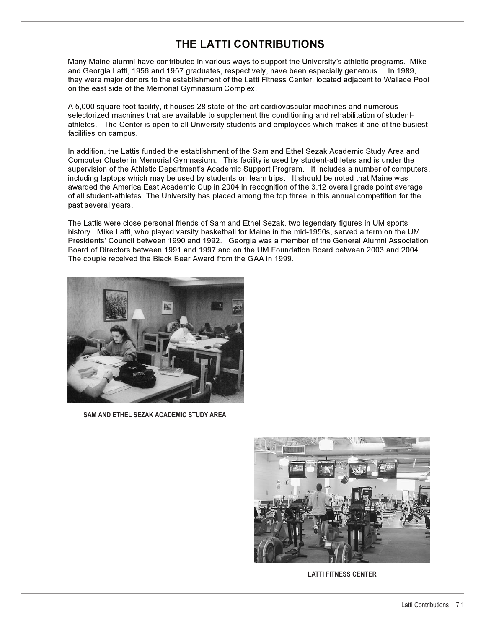## **THE LATTI CONTRIBUTIONS**

Many Maine alumni have contributed in various ways to support the University's athletic programs. Mike and Georgia Latti, 1956 and 1957 graduates, respectively, have been especially generous. In 1989, they were major donors to the establishment of the Latti Fitness Center, located adjacent to Wallace Pool on the east side of the Memorial Gymnasium Complex.

A 5,000 square foot facility, it houses 28 state-of-the-art cardiovascular machines and numerous selectorized machines that are available to supplement the conditioning and rehabilitation of studentathletes. The Center is open to all University students and employees which makes it one of the busiest facilities on campus.

In addition, the Lattis funded the establishment of the Sam and Ethel Sezak Academic Study Area and Computer Cluster in Memorial Gymnasium. This facility is used by student-athletes and is under the supervision of the Athletic Department's Academic Support Program. It includes a number of computers, including laptops which may be used by students on team trips. It should be noted that Maine was awarded the America East Academic Cup in 2004 in recognition of the 3.12 overall grade point average of all student-athletes. The University has placed among the top three in this annual competition for the past several years.

The Lattis were close personal friends of Sam and Ethel Sezak, two legendary figures in UM sports history. Mike Latti, who played varsity basketball for Maine in the mid-1950s, served a term on the UM Presidents' Council between 1990 and 1992. Georgia was a member of the General Alumni Association Board of Directors between 1991 and 1997 and on the UM Foundation Board between 2003 and 2004. The couple received the Black Bear Award from the GAA in 1999.



**SAM AND ETHEL SEZAK ACADEMIC STUDY AREA**



**LATTI FITNESS CENTER**